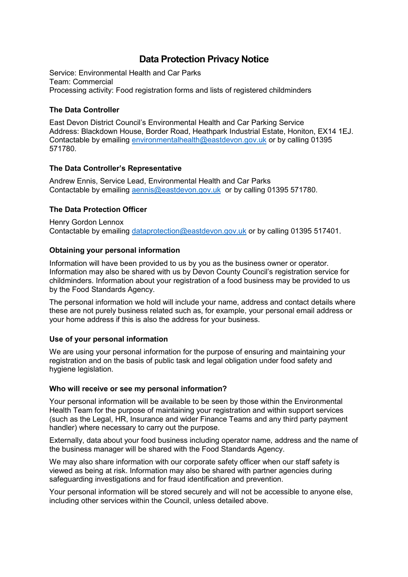# **Data Protection Privacy Notice**

Service: Environmental Health and Car Parks Team: Commercial Processing activity: Food registration forms and lists of registered childminders

## **The Data Controller**

East Devon District Council's Environmental Health and Car Parking Service Address: Blackdown House, Border Road, Heathpark Industrial Estate, Honiton, EX14 1EJ. Contactable by emailing [environmentalhealth@eastdevon.gov.uk](mailto:environmentalhealth@eastdevon.gov.uk) or by calling 01395 571780.

## **The Data Controller's Representative**

Andrew Ennis, Service Lead, Environmental Health and Car Parks Contactable by emailing [aennis@eastdevon.gov.uk](mailto:aennis@eastdevon.gov.uk) or by calling 01395 571780.

## **The Data Protection Officer**

Henry Gordon Lennox Contactable by emailing [dataprotection@eastdevon.gov.uk](mailto:dataprotection@eastdevon.gov.uk) or by calling 01395 517401.

#### **Obtaining your personal information**

Information will have been provided to us by you as the business owner or operator. Information may also be shared with us by Devon County Council's registration service for childminders. Information about your registration of a food business may be provided to us by the Food Standards Agency.

The personal information we hold will include your name, address and contact details where these are not purely business related such as, for example, your personal email address or your home address if this is also the address for your business.

#### **Use of your personal information**

We are using your personal information for the purpose of ensuring and maintaining your registration and on the basis of public task and legal obligation under food safety and hygiene legislation.

#### **Who will receive or see my personal information?**

Your personal information will be available to be seen by those within the Environmental Health Team for the purpose of maintaining your registration and within support services (such as the Legal, HR, Insurance and wider Finance Teams and any third party payment handler) where necessary to carry out the purpose.

Externally, data about your food business including operator name, address and the name of the business manager will be shared with the Food Standards Agency.

We may also share information with our corporate safety officer when our staff safety is viewed as being at risk. Information may also be shared with partner agencies during safeguarding investigations and for fraud identification and prevention.

Your personal information will be stored securely and will not be accessible to anyone else, including other services within the Council, unless detailed above.